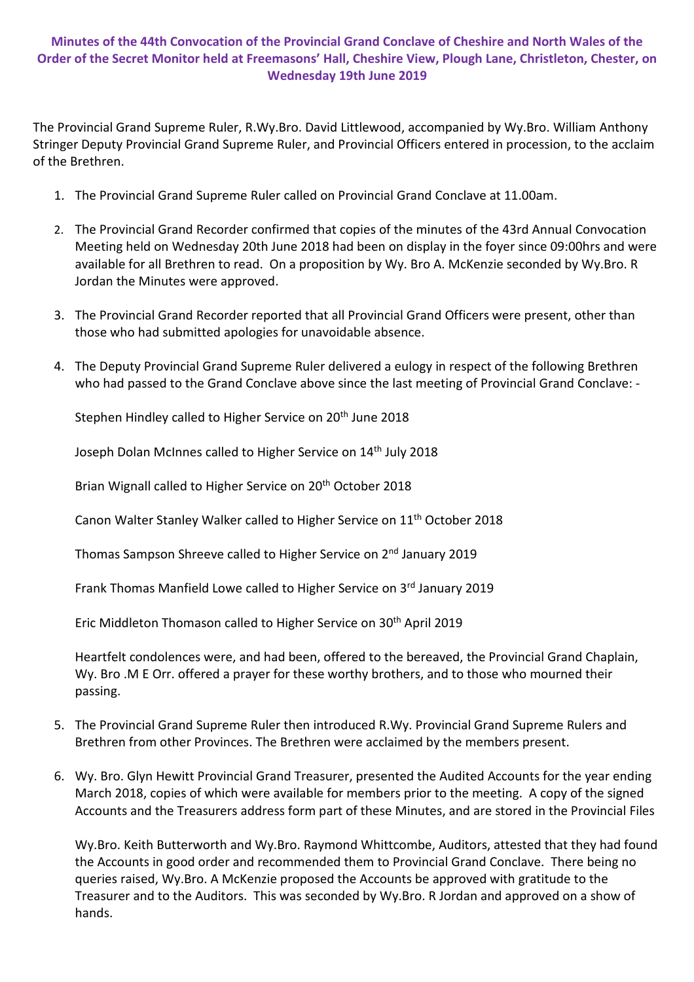## **Minutes of the 44th Convocation of the Provincial Grand Conclave of Cheshire and North Wales of the Order of the Secret Monitor held at Freemasons' Hall, Cheshire View, Plough Lane, Christleton, Chester, on Wednesday 19th June 2019**

The Provincial Grand Supreme Ruler, R.Wy.Bro. David Littlewood, accompanied by Wy.Bro. William Anthony Stringer Deputy Provincial Grand Supreme Ruler, and Provincial Officers entered in procession, to the acclaim of the Brethren.

- 1. The Provincial Grand Supreme Ruler called on Provincial Grand Conclave at 11.00am.
- 2. The Provincial Grand Recorder confirmed that copies of the minutes of the 43rd Annual Convocation Meeting held on Wednesday 20th June 2018 had been on display in the foyer since 09:00hrs and were available for all Brethren to read. On a proposition by Wy. Bro A. McKenzie seconded by Wy.Bro. R Jordan the Minutes were approved.
- 3. The Provincial Grand Recorder reported that all Provincial Grand Officers were present, other than those who had submitted apologies for unavoidable absence.
- 4. The Deputy Provincial Grand Supreme Ruler delivered a eulogy in respect of the following Brethren who had passed to the Grand Conclave above since the last meeting of Provincial Grand Conclave: -

Stephen Hindley called to Higher Service on 20<sup>th</sup> June 2018

Joseph Dolan McInnes called to Higher Service on 14<sup>th</sup> July 2018

Brian Wignall called to Higher Service on 20<sup>th</sup> October 2018

Canon Walter Stanley Walker called to Higher Service on 11<sup>th</sup> October 2018

Thomas Sampson Shreeve called to Higher Service on 2<sup>nd</sup> January 2019

Frank Thomas Manfield Lowe called to Higher Service on 3rd January 2019

Eric Middleton Thomason called to Higher Service on 30<sup>th</sup> April 2019

Heartfelt condolences were, and had been, offered to the bereaved, the Provincial Grand Chaplain, Wy. Bro .M E Orr. offered a prayer for these worthy brothers, and to those who mourned their passing.

- 5. The Provincial Grand Supreme Ruler then introduced R.Wy. Provincial Grand Supreme Rulers and Brethren from other Provinces. The Brethren were acclaimed by the members present.
- 6. Wy. Bro. Glyn Hewitt Provincial Grand Treasurer, presented the Audited Accounts for the year ending March 2018, copies of which were available for members prior to the meeting. A copy of the signed Accounts and the Treasurers address form part of these Minutes, and are stored in the Provincial Files

Wy.Bro. Keith Butterworth and Wy.Bro. Raymond Whittcombe, Auditors, attested that they had found the Accounts in good order and recommended them to Provincial Grand Conclave. There being no queries raised, Wy.Bro. A McKenzie proposed the Accounts be approved with gratitude to the Treasurer and to the Auditors. This was seconded by Wy.Bro. R Jordan and approved on a show of hands.